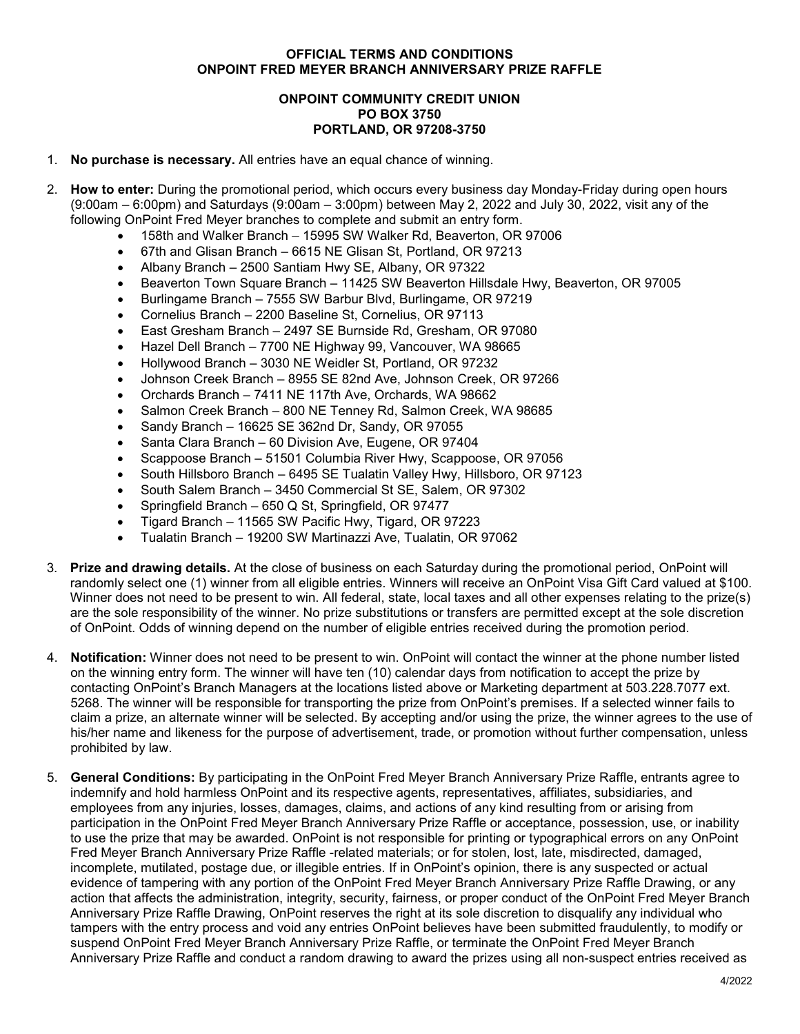## **OFFICIAL TERMS AND CONDITIONS ONPOINT FRED MEYER BRANCH ANNIVERSARY PRIZE RAFFLE**

## **ONPOINT COMMUNITY CREDIT UNION PO BOX 3750 PORTLAND, OR 97208-3750**

- 1. **No purchase is necessary.** All entries have an equal chance of winning.
- 2. **How to enter:** During the promotional period, which occurs every business day Monday-Friday during open hours (9:00am – 6:00pm) and Saturdays (9:00am – 3:00pm) between May 2, 2022 and July 30, 2022, visit any of the following OnPoint Fred Meyer branches to complete and submit an entry form.
	- 158th and Walker Branch 15995 SW Walker Rd, Beaverton, OR 97006
	- 67th and Glisan Branch 6615 NE Glisan St, Portland, OR 97213
	- Albany Branch 2500 Santiam Hwy SE, Albany, OR 97322
	- Beaverton Town Square Branch 11425 SW Beaverton Hillsdale Hwy, Beaverton, OR 97005
	- Burlingame Branch 7555 SW Barbur Blvd, Burlingame, OR 97219
	- Cornelius Branch 2200 Baseline St, Cornelius, OR 97113
	- East Gresham Branch 2497 SE Burnside Rd, Gresham, OR 97080
	- Hazel Dell Branch 7700 NE Highway 99, Vancouver, WA 98665
	- Hollywood Branch 3030 NE Weidler St, Portland, OR 97232
	- Johnson Creek Branch 8955 SE 82nd Ave, Johnson Creek, OR 97266
	- Orchards Branch 7411 NE 117th Ave, Orchards, WA 98662
	- Salmon Creek Branch 800 NE Tenney Rd, Salmon Creek, WA 98685
	- Sandy Branch 16625 SE 362nd Dr, Sandy, OR 97055
	- Santa Clara Branch 60 Division Ave, Eugene, OR 97404
	- Scappoose Branch 51501 Columbia River Hwy, Scappoose, OR 97056
	- South Hillsboro Branch 6495 SE Tualatin Valley Hwy, Hillsboro, OR 97123
	- South Salem Branch 3450 Commercial St SE, Salem, OR 97302
	- Springfield Branch 650 Q St, Springfield, OR 97477
	- Tigard Branch 11565 SW Pacific Hwy, Tigard, OR 97223
	- Tualatin Branch 19200 SW Martinazzi Ave, Tualatin, OR 97062
- 3. **Prize and drawing details.** At the close of business on each Saturday during the promotional period, OnPoint will randomly select one (1) winner from all eligible entries. Winners will receive an OnPoint Visa Gift Card valued at \$100. Winner does not need to be present to win. All federal, state, local taxes and all other expenses relating to the prize(s) are the sole responsibility of the winner. No prize substitutions or transfers are permitted except at the sole discretion of OnPoint. Odds of winning depend on the number of eligible entries received during the promotion period.
- 4. **Notification:** Winner does not need to be present to win. OnPoint will contact the winner at the phone number listed on the winning entry form. The winner will have ten (10) calendar days from notification to accept the prize by contacting OnPoint's Branch Managers at the locations listed above or Marketing department at 503.228.7077 ext. 5268. The winner will be responsible for transporting the prize from OnPoint's premises. If a selected winner fails to claim a prize, an alternate winner will be selected. By accepting and/or using the prize, the winner agrees to the use of his/her name and likeness for the purpose of advertisement, trade, or promotion without further compensation, unless prohibited by law.
- 5. **General Conditions:** By participating in the OnPoint Fred Meyer Branch Anniversary Prize Raffle, entrants agree to indemnify and hold harmless OnPoint and its respective agents, representatives, affiliates, subsidiaries, and employees from any injuries, losses, damages, claims, and actions of any kind resulting from or arising from participation in the OnPoint Fred Meyer Branch Anniversary Prize Raffle or acceptance, possession, use, or inability to use the prize that may be awarded. OnPoint is not responsible for printing or typographical errors on any OnPoint Fred Meyer Branch Anniversary Prize Raffle -related materials; or for stolen, lost, late, misdirected, damaged, incomplete, mutilated, postage due, or illegible entries. If in OnPoint's opinion, there is any suspected or actual evidence of tampering with any portion of the OnPoint Fred Meyer Branch Anniversary Prize Raffle Drawing, or any action that affects the administration, integrity, security, fairness, or proper conduct of the OnPoint Fred Meyer Branch Anniversary Prize Raffle Drawing, OnPoint reserves the right at its sole discretion to disqualify any individual who tampers with the entry process and void any entries OnPoint believes have been submitted fraudulently, to modify or suspend OnPoint Fred Meyer Branch Anniversary Prize Raffle, or terminate the OnPoint Fred Meyer Branch Anniversary Prize Raffle and conduct a random drawing to award the prizes using all non-suspect entries received as